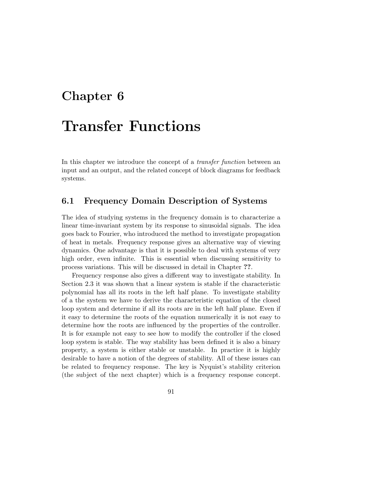## Chapter 6

# Transfer Functions

In this chapter we introduce the concept of a transfer function between an input and an output, and the related concept of block diagrams for feedback systems.

## 6.1 Frequency Domain Description of Systems

The idea of studying systems in the frequency domain is to characterize a linear time-invariant system by its response to sinusoidal signals. The idea goes back to Fourier, who introduced the method to investigate propagation of heat in metals. Frequency response gives an alternative way of viewing dynamics. One advantage is that it is possible to deal with systems of very high order, even infinite. This is essential when discussing sensitivity to process variations. This will be discussed in detail in Chapter ??.

Frequency response also gives a different way to investigate stability. In Section 2.3 it was shown that a linear system is stable if the characteristic polynomial has all its roots in the left half plane. To investigate stability of a the system we have to derive the characteristic equation of the closed loop system and determine if all its roots are in the left half plane. Even if it easy to determine the roots of the equation numerically it is not easy to determine how the roots are influenced by the properties of the controller. It is for example not easy to see how to modify the controller if the closed loop system is stable. The way stability has been defined it is also a binary property, a system is either stable or unstable. In practice it is highly desirable to have a notion of the degrees of stability. All of these issues can be related to frequency response. The key is Nyquist's stability criterion (the subject of the next chapter) which is a frequency response concept.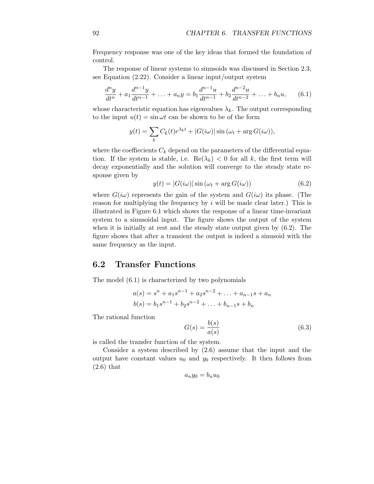Frequency response was one of the key ideas that formed the foundation of control.

The response of linear systems to sinusoids was discussed in Section 2.3, see Equation (2.22). Consider a linear input/output system

$$
\frac{d^n y}{dt^n} + a_1 \frac{d^{n-1} y}{dt^{n-1}} + \ldots + a_n y = b_1 \frac{d^{n-1} u}{dt^{n-1}} + b_2 \frac{d^{n-2} u}{dt^{n-2}} + \ldots + b_n u,\qquad(6.1)
$$

whose characteristic equation has eigenvalues  $\lambda_k$ . The output corresponding to the input  $u(t) = \sin \omega t$  can be shown to be of the form

$$
y(t) = \sum_{k} C_k(t)e^{\lambda_k t} + |G(i\omega)|\sin(\omega_t + \arg G(i\omega)),
$$

where the coeffiecients  $C_k$  depend on the parameters of the differential equation. If the system is stable, i.e.  $\text{Re}(\lambda_k) < 0$  for all k, the first term will decay exponentially and the solution will converge to the steady state response given by

$$
y(t) = |G(i\omega)|\sin(\omega_t + \arg G(i\omega))
$$
\n(6.2)

where  $G(i\omega)$  represents the gain of the system and  $G(i\omega)$  its phase. (The reason for multiplying the frequency by  $i$  will be made clear later.) This is illustrated in Figure 6.1 which shows the response of a linear time-invariant system to a sinusoidal input. The figure shows the output of the system when it is initially at rest and the steady state output given by (6.2). The figure shows that after a transient the output is indeed a sinusoid with the same frequency as the input.

## 6.2 Transfer Functions

The model (6.1) is characterized by two polynomials

$$
a(s) = sn + a1sn-1 + a2sn-2 + ... + an-1s + an
$$
  

$$
b(s) = b1sn-1 + b2sn-2 + ... + bn-1s + bn
$$

The rational function

$$
G(s) = \frac{b(s)}{a(s)}\tag{6.3}
$$

is called the transfer function of the system.

Consider a system described by (2.6) assume that the input and the output have constant values  $u_0$  and  $y_0$  respectively. It then follows from (2.6) that

$$
a_n y_0 = b_n u_0
$$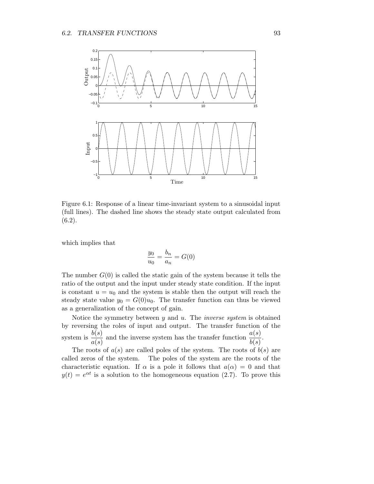

Figure 6.1: Response of a linear time-invariant system to a sinusoidal input (full lines). The dashed line shows the steady state output calculated from  $(6.2).$ 

which implies that

$$
\frac{y_0}{u_0} = \frac{b_n}{a_n} = G(0)
$$

The number  $G(0)$  is called the static gain of the system because it tells the ratio of the output and the input under steady state condition. If the input is constant  $u = u_0$  and the system is stable then the output will reach the steady state value  $y_0 = G(0)u_0$ . The transfer function can thus be viewed as a generalization of the concept of gain.

Notice the symmetry between  $y$  and  $u$ . The *inverse system* is obtained by reversing the roles of input and output. The transfer function of the system is  $\frac{b(s)}{s}$  $\frac{b(s)}{a(s)}$  and the inverse system has the transfer function  $\frac{a(s)}{b(s)}$ .

The roots of  $a(s)$  are called poles of the system. The roots of  $b(s)$  are called zeros of the system. The poles of the system are the roots of the characteristic equation. If  $\alpha$  is a pole it follows that  $a(\alpha) = 0$  and that  $y(t) = e^{\alpha t}$  is a solution to the homogeneous equation (2.7). To prove this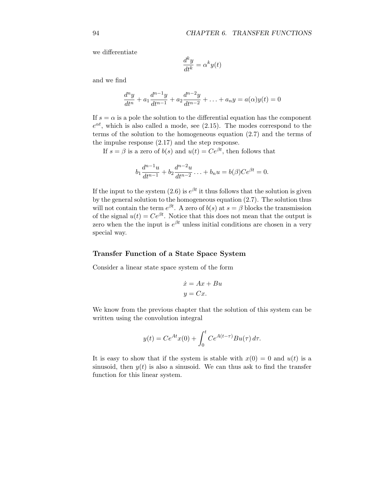we differentiate

$$
\frac{d^k y}{dt^k} = \alpha^k y(t)
$$

and we find

$$
\frac{d^n y}{dt^n} + a_1 \frac{d^{n-1} y}{dt^{n-1}} + a_2 \frac{d^{n-2} y}{dt^{n-2}} + \ldots + a_n y = a(\alpha)y(t) = 0
$$

If  $s = \alpha$  is a pole the solution to the differential equation has the component  $e^{\alpha t}$ , which is also called a mode, see (2.15). The modes correspond to the terms of the solution to the homogeneous equation (2.7) and the terms of the impulse response (2.17) and the step response.

If  $s = \beta$  is a zero of  $b(s)$  and  $u(t) = Ce^{\beta t}$ , then follows that

$$
b_1 \frac{d^{n-1}u}{dt^{n-1}} + b_2 \frac{d^{n-2}u}{dt^{n-2}} + \dots + b_n u = b(\beta)Ce^{\beta t} = 0.
$$

If the input to the system (2.6) is  $e^{\beta t}$  it thus follows that the solution is given by the general solution to the homogeneous equation (2.7). The solution thus will not contain the term  $e^{\beta t}$ . A zero of  $b(s)$  at  $s = \beta$  blocks the transmission of the signal  $u(t) = Ce^{\beta t}$ . Notice that this does not mean that the output is zero when the the input is  $e^{\beta t}$  unless initial conditions are chosen in a very special way.

#### Transfer Function of a State Space System

Consider a linear state space system of the form

$$
\begin{aligned}\n\dot{x} &= Ax + Bu \\
y &= Cx.\n\end{aligned}
$$

We know from the previous chapter that the solution of this system can be written using the convolution integral

$$
y(t) = Ce^{At}x(0) + \int_0^t Ce^{A(t-\tau)}Bu(\tau) d\tau.
$$

It is easy to show that if the system is stable with  $x(0) = 0$  and  $u(t)$  is a sinusoid, then  $y(t)$  is also a sinusoid. We can thus ask to find the transfer function for this linear system.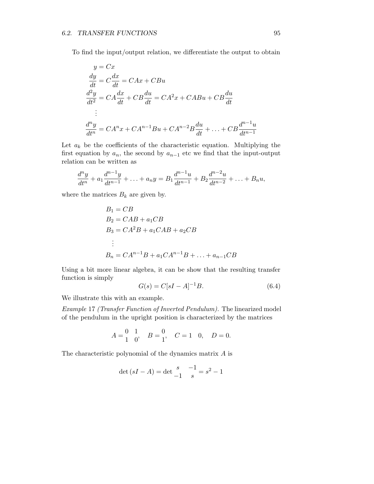To find the input/output relation, we differentiate the output to obtain

$$
y = Cx
$$
  
\n
$$
\frac{dy}{dt} = C\frac{dx}{dt} = CAx + CBu
$$
  
\n
$$
\frac{d^2y}{dt^2} = CA\frac{dx}{dt} + CB\frac{du}{dt} = CA^2x + CABu + CB\frac{du}{dt}
$$
  
\n:  
\n
$$
\frac{d^ny}{dt^n} = CA^nx + CA^{n-1}Bu + CA^{n-2}B\frac{du}{dt} + ... + CB\frac{d^{n-1}u}{dt^{n-1}}
$$

Let  $a_k$  be the coefficients of the characteristic equation. Multiplying the first equation by  $a_n$ , the second by  $a_{n-1}$  etc we find that the input-output relation can be written as

$$
\frac{d^n y}{dt^n} + a_1 \frac{d^{n-1} y}{dt^{n-1}} + \ldots + a_n y = B_1 \frac{d^{n-1} u}{dt^{n-1}} + B_2 \frac{d^{n-2} u}{dt^{n-2}} + \ldots + B_n u,
$$

where the matrices  $B_k$  are given by.

$$
B_1 = CB
$$
  
\n
$$
B_2 = CAB + a_1CB
$$
  
\n
$$
B_3 = CA^2B + a_1CAB + a_2CB
$$
  
\n:  
\n:  
\n
$$
B_n = CA^{n-1}B + a_1CA^{n-1}B + \dots + a_{n-1}CB
$$

Using a bit more linear algebra, it can be show that the resulting transfer function is simply

$$
G(s) = C[sI - A]^{-1}B.
$$
 (6.4)

We illustrate this with an example.

Example 17 (Transfer Function of Inverted Pendulum). The linearized model of the pendulum in the upright position is characterized by the matrices

$$
A = \begin{pmatrix} 0 & 1 \\ 1 & 0 \end{pmatrix}, \quad B = \begin{pmatrix} 0 \\ 1 \end{pmatrix}, \quad C = 1 \quad 0, \quad D = 0.
$$

The characteristic polynomial of the dynamics matrix A is

$$
\det(sI - A) = \det \frac{s}{-1} - \frac{1}{s} = s^2 - 1
$$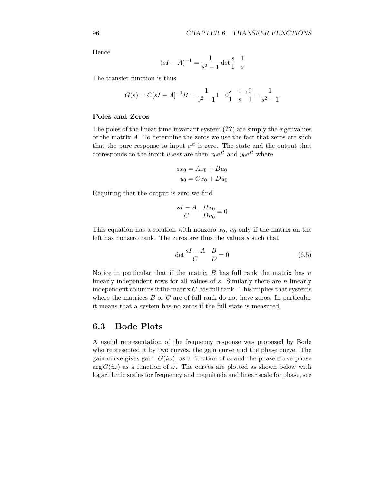Hence

$$
(sI - A)^{-1} = \frac{1}{s^2 - 1} \det \begin{cases} s & 1\\ 1 & s \end{cases}
$$

The transfer function is thus

$$
G(s) = C[sI - A]^{-1}B = \frac{1}{s^2 - 1}1 \quad 0_1^s \quad \frac{1}{s} - \frac{1}{s^2 - 1} = \frac{1}{s^2 - 1}
$$

#### Poles and Zeros

The poles of the linear time-invariant system (??) are simply the eigenvalues of the matrix A. To determine the zeros we use the fact that zeros are such that the pure response to input  $e^{st}$  is zero. The state and the output that corresponds to the input  $u_0est$  are then  $x_0e^{st}$  and  $y_0e^{st}$  where

$$
sx_0 = Ax_0 + Bu_0
$$

$$
y_0 = Cx_0 + Du_0
$$

Requiring that the output is zero we find

$$
\begin{array}{cc} sI - A & Bx_0 \\ C & Du_0 \end{array} = 0
$$

This equation has a solution with nonzero  $x_0$ ,  $u_0$  only if the matrix on the left has nonzero rank. The zeros are thus the values s such that

$$
\det \frac{sI - A}{C} \frac{B}{D} = 0 \tag{6.5}
$$

Notice in particular that if the matrix  $B$  has full rank the matrix has  $n$ linearly independent rows for all values of s. Similarly there are n linearly independent columns if the matrix  $C$  has full rank. This implies that systems where the matrices  $B$  or  $C$  are of full rank do not have zeros. In particular it means that a system has no zeros if the full state is measured.

## 6.3 Bode Plots

A useful representation of the frequency response was proposed by Bode who represented it by two curves, the gain curve and the phase curve. The gain curve gives gain  $|G(i\omega)|$  as a function of  $\omega$  and the phase curve phase  $\arg G(i\omega)$  as a function of  $\omega$ . The curves are plotted as shown below with logarithmic scales for frequency and magnitude and linear scale for phase, see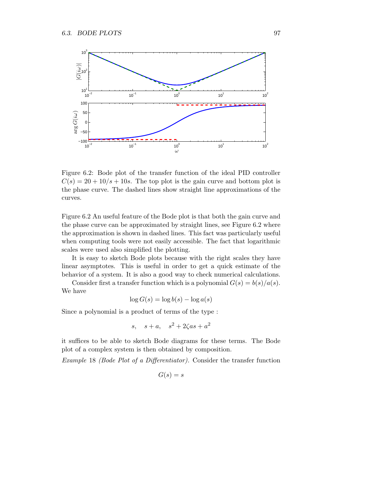

Figure 6.2: Bode plot of the transfer function of the ideal PID controller  $C(s) = 20 + 10/s + 10s$ . The top plot is the gain curve and bottom plot is the phase curve. The dashed lines show straight line approximations of the curves.

Figure 6.2 An useful feature of the Bode plot is that both the gain curve and the phase curve can be approximated by straight lines, see Figure 6.2 where the approximation is shown in dashed lines. This fact was particularly useful when computing tools were not easily accessible. The fact that logarithmic scales were used also simplified the plotting.

It is easy to sketch Bode plots because with the right scales they have linear asymptotes. This is useful in order to get a quick estimate of the behavior of a system. It is also a good way to check numerical calculations.

Consider first a transfer function which is a polynomial  $G(s) = b(s)/a(s)$ . We have

$$
\log G(s) = \log b(s) - \log a(s)
$$

Since a polynomial is a product of terms of the type :

$$
s, \quad s + a, \quad s^2 + 2\zeta a s + a^2
$$

it suffices to be able to sketch Bode diagrams for these terms. The Bode plot of a complex system is then obtained by composition.

Example 18 (Bode Plot of a Differentiator). Consider the transfer function

$$
G(s) = s
$$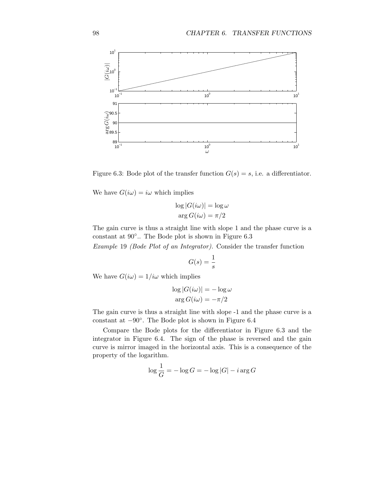

Figure 6.3: Bode plot of the transfer function  $G(s) = s$ , i.e. a differentiator.

We have  $G(i\omega) = i\omega$  which implies

$$
\log|G(i\omega)| = \log \omega
$$
  
arg  $G(i\omega) = \pi/2$ 

The gain curve is thus a straight line with slope 1 and the phase curve is a constant at 90◦ .. The Bode plot is shown in Figure 6.3

Example 19 (Bode Plot of an Integrator). Consider the transfer function

$$
G(s) = \frac{1}{s}
$$

We have  $G(i\omega) = 1/i\omega$  which implies

$$
\log |G(i\omega)| = -\log \omega
$$
  
arg  $G(i\omega) = -\pi/2$ 

The gain curve is thus a straight line with slope -1 and the phase curve is a constant at  $-90^\circ$ . The Bode plot is shown in Figure 6.4

Compare the Bode plots for the differentiator in Figure 6.3 and the integrator in Figure 6.4. The sign of the phase is reversed and the gain curve is mirror imaged in the horizontal axis. This is a consequence of the property of the logarithm.

$$
\log \frac{1}{G} = -\log G = -\log |G| - i \arg G
$$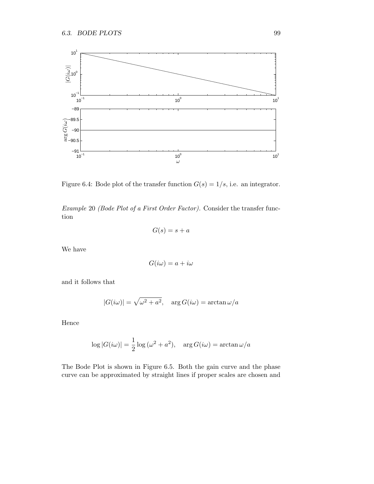

Figure 6.4: Bode plot of the transfer function  $G(s) = 1/s$ , i.e. an integrator.

Example 20 (Bode Plot of a First Order Factor). Consider the transfer function

$$
G(s)=s+a
$$

We have

$$
G(i\omega) = a + i\omega
$$

and it follows that

$$
|G(i\omega)| = \sqrt{\omega^2 + a^2}, \quad \arg G(i\omega) = \arctan \omega/a
$$

Hence

$$
\log|G(i\omega)| = \frac{1}{2}\log(\omega^2 + a^2), \quad \arg G(i\omega) = \arctan\omega/a
$$

The Bode Plot is shown in Figure 6.5. Both the gain curve and the phase curve can be approximated by straight lines if proper scales are chosen and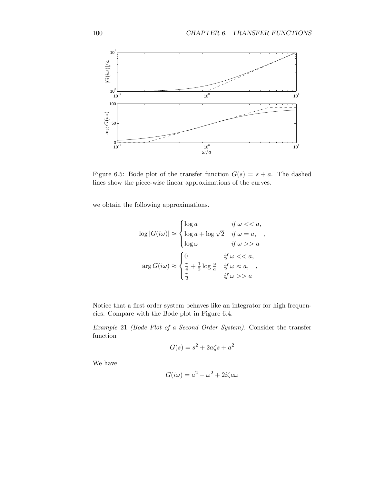,



Figure 6.5: Bode plot of the transfer function  $G(s) = s + a$ . The dashed lines show the piece-wise linear approximations of the curves.

we obtain the following approximations.

$$
\log|G(i\omega)| \approx \begin{cases} \log a & \text{if } \omega << a, \\ \log a + \log \sqrt{2} & \text{if } \omega = a, \\ \log \omega & \text{if } \omega > a \end{cases}
$$

$$
\arg G(i\omega) \approx \begin{cases} 0 & \text{if } \omega << a, \\ \frac{\pi}{4} + \frac{1}{2} \log \frac{\omega}{a} & \text{if } \omega \approx a, \\ \frac{\pi}{2} & \text{if } \omega > a \end{cases}
$$

Notice that a first order system behaves like an integrator for high frequencies. Compare with the Bode plot in Figure 6.4.

Example 21 (Bode Plot of a Second Order System). Consider the transfer function

$$
G(s) = s^2 + 2a\zeta s + a^2
$$

We have

$$
G(i\omega) = a^2 - \omega^2 + 2i\zeta a\omega
$$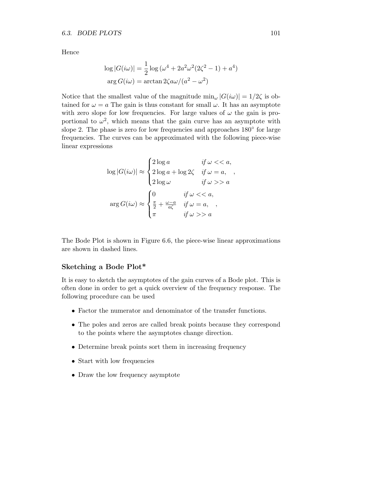Hence

$$
\log|G(i\omega)| = \frac{1}{2}\log(\omega^4 + 2a^2\omega^2(2\zeta^2 - 1) + a^4)
$$

$$
\arg G(i\omega) = \arctan 2\zeta a\omega/(a^2 - \omega^2)
$$

Notice that the smallest value of the magnitude  $\min_{\omega} |G(i\omega)| = 1/2\zeta$  is obtained for  $\omega = a$  The gain is thus constant for small  $\omega$ . It has an asymptote with zero slope for low frequencies. For large values of  $\omega$  the gain is proportional to  $\omega^2$ , which means that the gain curve has an asymptote with slope 2. The phase is zero for low frequencies and approaches  $180^{\circ}$  for large frequencies. The curves can be approximated with the following piece-wise linear expressions

$$
\log|G(i\omega)| \approx \begin{cases} 2\log a & \text{if } \omega << a, \\ 2\log a + \log 2\zeta & \text{if } \omega = a, \\ 2\log \omega & \text{if } \omega>> a \end{cases},
$$

$$
\arg G(i\omega) \approx \begin{cases} 0 & \text{if } \omega << a, \\ \frac{\pi}{2} + \frac{\omega - a}{a\zeta} & \text{if } \omega = a, \\ \pi & \text{if } \omega>> a \end{cases}
$$

The Bode Plot is shown in Figure 6.6, the piece-wise linear approximations are shown in dashed lines.

## Sketching a Bode Plot\*

It is easy to sketch the asymptotes of the gain curves of a Bode plot. This is often done in order to get a quick overview of the frequency response. The following procedure can be used

- Factor the numerator and denominator of the transfer functions.
- The poles and zeros are called break points because they correspond to the points where the asymptotes change direction.
- Determine break points sort them in increasing frequency
- Start with low frequencies
- Draw the low frequency asymptote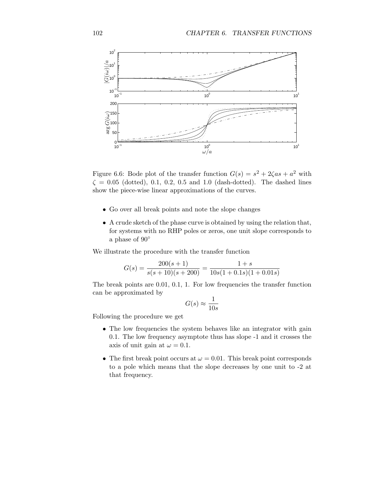

Figure 6.6: Bode plot of the transfer function  $G(s) = s^2 + 2\zeta as + a^2$  with  $\zeta = 0.05$  (dotted), 0.1, 0.2, 0.5 and 1.0 (dash-dotted). The dashed lines show the piece-wise linear approximations of the curves.

- Go over all break points and note the slope changes
- A crude sketch of the phase curve is obtained by using the relation that, for systems with no RHP poles or zeros, one unit slope corresponds to a phase of 90◦

We illustrate the procedure with the transfer function

$$
G(s) = \frac{200(s+1)}{s(s+10)(s+200)} = \frac{1+s}{10s(1+0.1s)(1+0.01s)}
$$

The break points are 0.01, 0.1, 1. For low frequencies the transfer function can be approximated by

$$
G(s) \approx \frac{1}{10s}
$$

Following the procedure we get

- The low frequencies the system behaves like an integrator with gain 0.1. The low frequency asymptote thus has slope -1 and it crosses the axis of unit gain at  $\omega = 0.1$ .
- The first break point occurs at  $\omega = 0.01$ . This break point corresponds to a pole which means that the slope decreases by one unit to -2 at that frequency.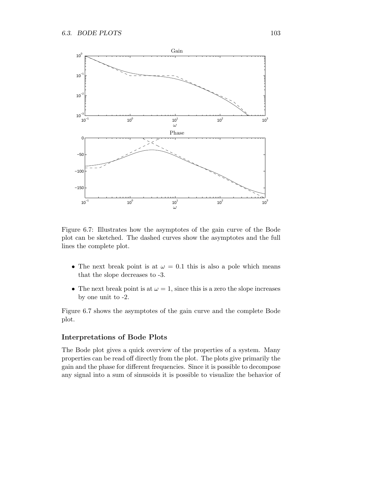

Figure 6.7: Illustrates how the asymptotes of the gain curve of the Bode plot can be sketched. The dashed curves show the asymptotes and the full lines the complete plot.

- The next break point is at  $\omega = 0.1$  this is also a pole which means that the slope decreases to -3.
- The next break point is at  $\omega = 1$ , since this is a zero the slope increases by one unit to -2.

Figure 6.7 shows the asymptotes of the gain curve and the complete Bode plot.

## Interpretations of Bode Plots

The Bode plot gives a quick overview of the properties of a system. Many properties can be read off directly from the plot. The plots give primarily the gain and the phase for different frequencies. Since it is possible to decompose any signal into a sum of sinusoids it is possible to visualize the behavior of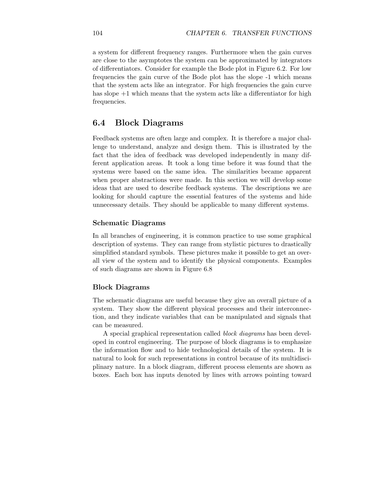a system for different frequency ranges. Furthermore when the gain curves are close to the asymptotes the system can be approximated by integrators of differentiators. Consider for example the Bode plot in Figure 6.2. For low frequencies the gain curve of the Bode plot has the slope -1 which means that the system acts like an integrator. For high frequencies the gain curve has slope  $+1$  which means that the system acts like a differentiator for high frequencies.

## 6.4 Block Diagrams

Feedback systems are often large and complex. It is therefore a major challenge to understand, analyze and design them. This is illustrated by the fact that the idea of feedback was developed independently in many different application areas. It took a long time before it was found that the systems were based on the same idea. The similarities became apparent when proper abstractions were made. In this section we will develop some ideas that are used to describe feedback systems. The descriptions we are looking for should capture the essential features of the systems and hide unnecessary details. They should be applicable to many different systems.

## Schematic Diagrams

In all branches of engineering, it is common practice to use some graphical description of systems. They can range from stylistic pictures to drastically simplified standard symbols. These pictures make it possible to get an overall view of the system and to identify the physical components. Examples of such diagrams are shown in Figure 6.8

## Block Diagrams

The schematic diagrams are useful because they give an overall picture of a system. They show the different physical processes and their interconnection, and they indicate variables that can be manipulated and signals that can be measured.

A special graphical representation called block diagrams has been developed in control engineering. The purpose of block diagrams is to emphasize the information flow and to hide technological details of the system. It is natural to look for such representations in control because of its multidisciplinary nature. In a block diagram, different process elements are shown as boxes. Each box has inputs denoted by lines with arrows pointing toward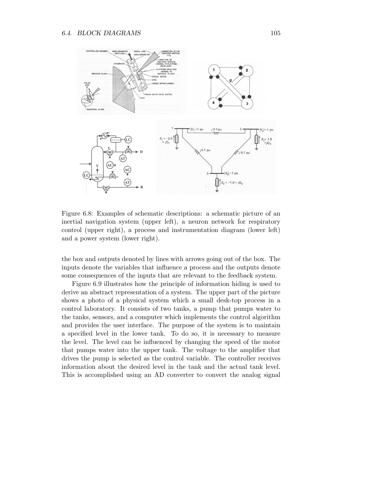

Figure 6.8: Examples of schematic descriptions: a schematic picture of an inertial navigation system (upper left), a neuron network for respiratory control (upper right), a process and instrumentation diagram (lower left) and a power system (lower right).

the box and outputs denoted by lines with arrows going out of the box. The inputs denote the variables that influence a process and the outputs denote some consequences of the inputs that are relevant to the feedback system.

Figure 6.9 illustrates how the principle of information hiding is used to derive an abstract representation of a system. The upper part of the picture shows a photo of a physical system which a small desk-top process in a control laboratory. It consists of two tanks, a pump that pumps water to the tanks, sensors, and a computer which implements the control algorithm and provides the user interface. The purpose of the system is to maintain a specified level in the lower tank. To do so, it is necessary to measure the level. The level can be influenced by changing the speed of the motor that pumps water into the upper tank. The voltage to the amplifier that drives the pump is selected as the control variable. The controller receives information about the desired level in the tank and the actual tank level. This is accomplished using an AD converter to convert the analog signal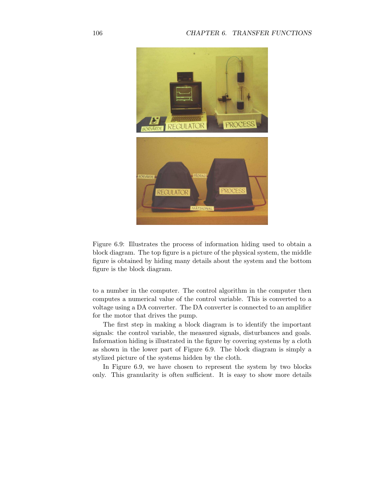

Figure 6.9: Illustrates the process of information hiding used to obtain a block diagram. The top figure is a picture of the physical system, the middle figure is obtained by hiding many details about the system and the bottom figure is the block diagram.

to a number in the computer. The control algorithm in the computer then computes a numerical value of the control variable. This is converted to a voltage using a DA converter. The DA converter is connected to an amplifier for the motor that drives the pump.

The first step in making a block diagram is to identify the important signals: the control variable, the measured signals, disturbances and goals. Information hiding is illustrated in the figure by covering systems by a cloth as shown in the lower part of Figure 6.9. The block diagram is simply a stylized picture of the systems hidden by the cloth.

In Figure 6.9, we have chosen to represent the system by two blocks only. This granularity is often sufficient. It is easy to show more details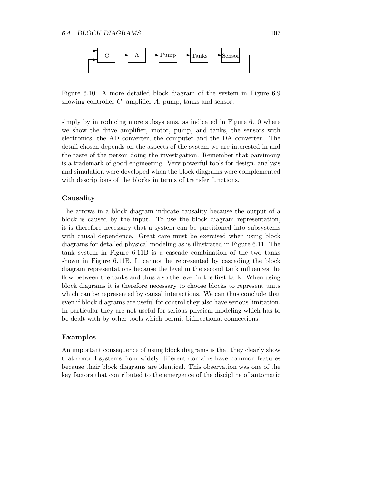

Figure 6.10: A more detailed block diagram of the system in Figure 6.9 showing controller C, amplifier A, pump, tanks and sensor.

simply by introducing more subsystems, as indicated in Figure 6.10 where we show the drive amplifier, motor, pump, and tanks, the sensors with electronics, the AD converter, the computer and the DA converter. The detail chosen depends on the aspects of the system we are interested in and the taste of the person doing the investigation. Remember that parsimony is a trademark of good engineering. Very powerful tools for design, analysis and simulation were developed when the block diagrams were complemented with descriptions of the blocks in terms of transfer functions.

#### Causality

The arrows in a block diagram indicate causality because the output of a block is caused by the input. To use the block diagram representation, it is therefore necessary that a system can be partitioned into subsystems with causal dependence. Great care must be exercised when using block diagrams for detailed physical modeling as is illustrated in Figure 6.11. The tank system in Figure 6.11B is a cascade combination of the two tanks shown in Figure 6.11B. It cannot be represented by cascading the block diagram representations because the level in the second tank influences the flow between the tanks and thus also the level in the first tank. When using block diagrams it is therefore necessary to choose blocks to represent units which can be represented by causal interactions. We can thus conclude that even if block diagrams are useful for control they also have serious limitation. In particular they are not useful for serious physical modeling which has to be dealt with by other tools which permit bidirectional connections.

#### Examples

An important consequence of using block diagrams is that they clearly show that control systems from widely different domains have common features because their block diagrams are identical. This observation was one of the key factors that contributed to the emergence of the discipline of automatic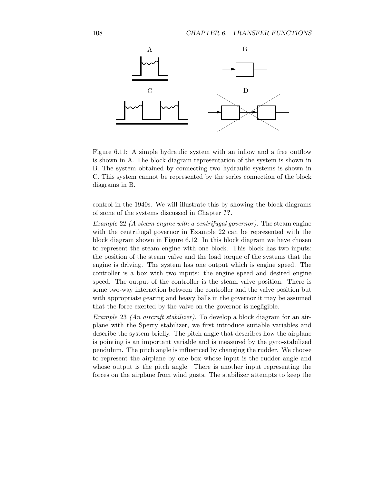

Figure 6.11: A simple hydraulic system with an inflow and a free outflow is shown in A. The block diagram representation of the system is shown in B. The system obtained by connecting two hydraulic systems is shown in C. This system cannot be represented by the series connection of the block diagrams in B.

control in the 1940s. We will illustrate this by showing the block diagrams of some of the systems discussed in Chapter ??.

Example 22 (A steam engine with a centrifugal governor). The steam engine with the centrifugal governor in Example 22 can be represented with the block diagram shown in Figure 6.12. In this block diagram we have chosen to represent the steam engine with one block. This block has two inputs: the position of the steam valve and the load torque of the systems that the engine is driving. The system has one output which is engine speed. The controller is a box with two inputs: the engine speed and desired engine speed. The output of the controller is the steam valve position. There is some two-way interaction between the controller and the valve position but with appropriate gearing and heavy balls in the governor it may be assumed that the force exerted by the valve on the governor is negligible.

Example 23 (An aircraft stabilizer). To develop a block diagram for an airplane with the Sperry stabilizer, we first introduce suitable variables and describe the system briefly. The pitch angle that describes how the airplane is pointing is an important variable and is measured by the gyro-stabilized pendulum. The pitch angle is influenced by changing the rudder. We choose to represent the airplane by one box whose input is the rudder angle and whose output is the pitch angle. There is another input representing the forces on the airplane from wind gusts. The stabilizer attempts to keep the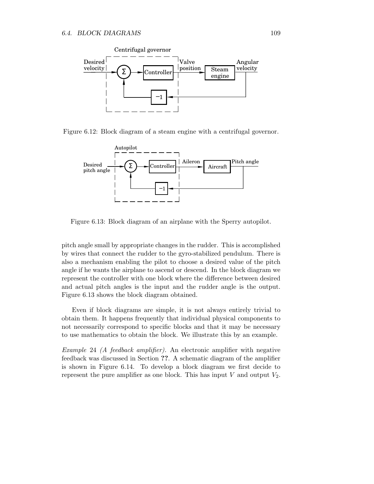

Figure 6.12: Block diagram of a steam engine with a centrifugal governor.



Figure 6.13: Block diagram of an airplane with the Sperry autopilot.

pitch angle small by appropriate changes in the rudder. This is accomplished by wires that connect the rudder to the gyro-stabilized pendulum. There is also a mechanism enabling the pilot to choose a desired value of the pitch angle if he wants the airplane to ascend or descend. In the block diagram we represent the controller with one block where the difference between desired and actual pitch angles is the input and the rudder angle is the output. Figure 6.13 shows the block diagram obtained.

Even if block diagrams are simple, it is not always entirely trivial to obtain them. It happens frequently that individual physical components to not necessarily correspond to specific blocks and that it may be necessary to use mathematics to obtain the block. We illustrate this by an example.

Example 24 (A feedback amplifier). An electronic amplifier with negative feedback was discussed in Section ??. A schematic diagram of the amplifier is shown in Figure 6.14. To develop a block diagram we first decide to represent the pure amplifier as one block. This has input  $V$  and output  $V_2$ .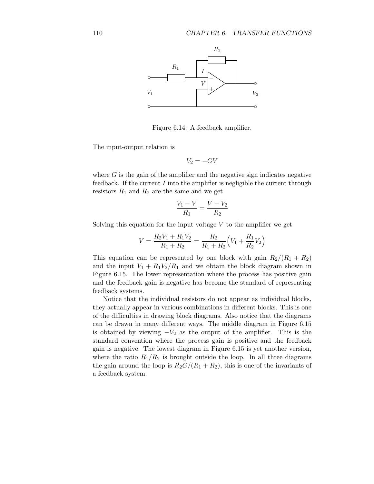PSfrag replacements



Figure 6.14: A feedback amplifier.

The input-output relation is

$$
V_2 = -GV
$$

where  $G$  is the gain of the amplifier and the negative sign indicates negative feedback. If the current  $I$  into the amplifier is negligible the current through resistors  $R_1$  and  $R_2$  are the same and we get

$$
\frac{V_1 - V}{R_1} = \frac{V - V_2}{R_2}
$$

Solving this equation for the input voltage  $V$  to the amplifier we get

$$
V = \frac{R_2 V_1 + R_1 V_2}{R_1 + R_2} = \frac{R_2}{R_1 + R_2} \left( V_1 + \frac{R_1}{R_2} V_2 \right)
$$

This equation can be represented by one block with gain  $R_2/(R_1 + R_2)$ and the input  $V_1 + R_1 V_2 / R_1$  and we obtain the block diagram shown in Figure 6.15. The lower representation where the process has positive gain and the feedback gain is negative has become the standard of representing feedback systems.

Notice that the individual resistors do not appear as individual blocks, they actually appear in various combinations in different blocks. This is one of the difficulties in drawing block diagrams. Also notice that the diagrams can be drawn in many different ways. The middle diagram in Figure 6.15 is obtained by viewing  $-V_2$  as the output of the amplifier. This is the standard convention where the process gain is positive and the feedback gain is negative. The lowest diagram in Figure 6.15 is yet another version, where the ratio  $R_1/R_2$  is brought outside the loop. In all three diagrams the gain around the loop is  $R_2G/(R_1 + R_2)$ , this is one of the invariants of a feedback system.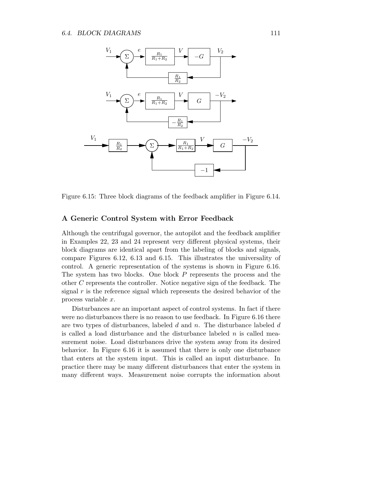

Figure 6.15: Three block diagrams of the feedback amplifier in Figure 6.14.

## A Generic Control System with Error Feedback

Although the centrifugal governor, the autopilot and the feedback amplifier in Examples 22, 23 and 24 represent very different physical systems, their block diagrams are identical apart from the labeling of blocks and signals, compare Figures 6.12, 6.13 and 6.15. This illustrates the universality of control. A generic representation of the systems is shown in Figure 6.16. The system has two blocks. One block P represents the process and the other C represents the controller. Notice negative sign of the feedback. The signal  $r$  is the reference signal which represents the desired behavior of the process variable x.

Disturbances are an important aspect of control systems. In fact if there were no disturbances there is no reason to use feedback. In Figure 6.16 there are two types of disturbances, labeled  $d$  and  $n$ . The disturbance labeled  $d$ is called a load disturbance and the disturbance labeled  $n$  is called measurement noise. Load disturbances drive the system away from its desired behavior. In Figure 6.16 it is assumed that there is only one disturbance that enters at the system input. This is called an input disturbance. In practice there may be many different disturbances that enter the system in many different ways. Measurement noise corrupts the information about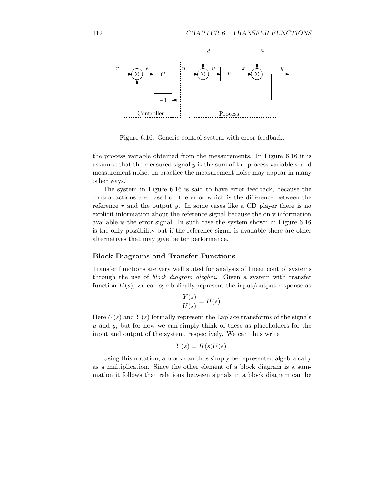

Figure 6.16: Generic control system with error feedback.

the process variable obtained from the measurements. In Figure 6.16 it is assumed that the measured signal  $y$  is the sum of the process variable  $x$  and measurement noise. In practice the measurement noise may appear in many other ways.

The system in Figure 6.16 is said to have error feedback, because the control actions are based on the error which is the difference between the reference r and the output y. In some cases like a CD player there is no explicit information about the reference signal because the only information available is the error signal. In such case the system shown in Figure 6.16 is the only possibility but if the reference signal is available there are other alternatives that may give better performance.

## Block Diagrams and Transfer Functions

Transfer functions are very well suited for analysis of linear control systems through the use of block diagram alegbra. Given a system with transfer function  $H(s)$ , we can symbolically represent the input/output response as

$$
\frac{Y(s)}{U(s)} = H(s).
$$

Here  $U(s)$  and  $Y(s)$  formally represent the Laplace transforms of the signals  $u$  and  $y$ , but for now we can simply think of these as placeholders for the input and output of the system, respectively. We can thus write

$$
Y(s) = H(s)U(s).
$$

Using this notation, a block can thus simply be represented algebraically as a multiplication. Since the other element of a block diagram is a summation it follows that relations between signals in a block diagram can be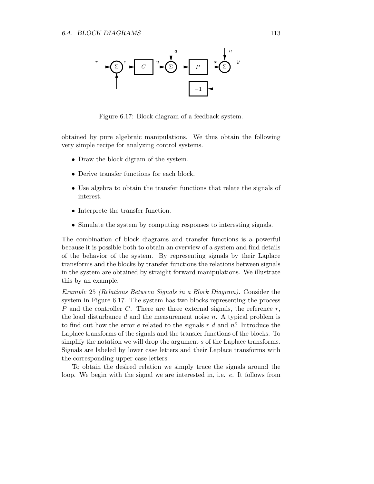## 6.4. BLOCK DIAGRAMS 113



Figure 6.17: Block diagram of a feedback system.

obtained by pure algebraic manipulations. We thus obtain the following very simple recipe for analyzing control systems.

- Draw the block digram of the system.
- Derive transfer functions for each block.
- Use algebra to obtain the transfer functions that relate the signals of interest.
- Interprete the transfer function.
- Simulate the system by computing responses to interesting signals.

The combination of block diagrams and transfer functions is a powerful because it is possible both to obtain an overview of a system and find details of the behavior of the system. By representing signals by their Laplace transforms and the blocks by transfer functions the relations between signals in the system are obtained by straight forward manipulations. We illustrate this by an example.

Example 25 (Relations Between Signals in a Block Diagram). Consider the system in Figure 6.17. The system has two blocks representing the process P and the controller C. There are three external signals, the reference  $r$ , the load disturbance  $d$  and the measurement noise  $n$ . A typical problem is to find out how the error  $e$  related to the signals  $r d$  and  $n$ ? Introduce the Laplace transforms of the signals and the transfer functions of the blocks. To simplify the notation we will drop the argument s of the Laplace transforms. Signals are labeled by lower case letters and their Laplace transforms with the corresponding upper case letters.

To obtain the desired relation we simply trace the signals around the loop. We begin with the signal we are interested in, i.e. e. It follows from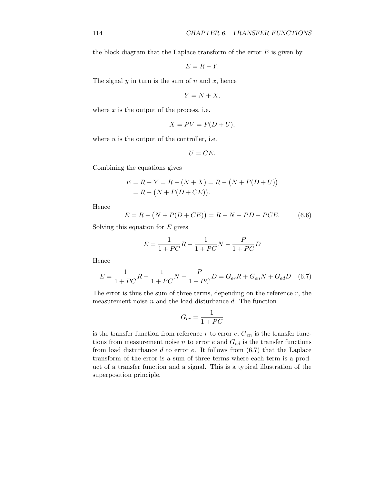the block diagram that the Laplace transform of the error  $E$  is given by

$$
E = R - Y.
$$

The signal  $y$  in turn is the sum of  $n$  and  $x$ , hence

$$
Y = N + X,
$$

where  $x$  is the output of the process, i.e.

$$
X = PV = P(D + U),
$$

where  $u$  is the output of the controller, i.e.

$$
U = CE.
$$

Combining the equations gives

$$
E = R - Y = R - (N + X) = R - (N + P(D + U))
$$
  
= R - (N + P(D + CE)).

Hence

$$
E = R - (N + P(D + CE)) = R - N - PD - PCE.
$$
 (6.6)

Solving this equation for  $E$  gives

$$
E = \frac{1}{1 + PC}R - \frac{1}{1 + PC}N - \frac{P}{1 + PC}D
$$

Hence

$$
E = \frac{1}{1+PC}R - \frac{1}{1+PC}N - \frac{P}{1+PC}D = G_{er}R + G_{en}N + G_{ed}D
$$
 (6.7)

The error is thus the sum of three terms, depending on the reference  $r$ , the measurement noise  $n$  and the load disturbance  $d$ . The function

$$
G_{er} = \frac{1}{1+PC}
$$

is the transfer function from reference r to error  $e, G_{en}$  is the transfer functions from measurement noise *n* to error *e* and  $G_{ed}$  is the transfer functions from load disturbance  $d$  to error  $e$ . It follows from  $(6.7)$  that the Laplace transform of the error is a sum of three terms where each term is a product of a transfer function and a signal. This is a typical illustration of the superposition principle.